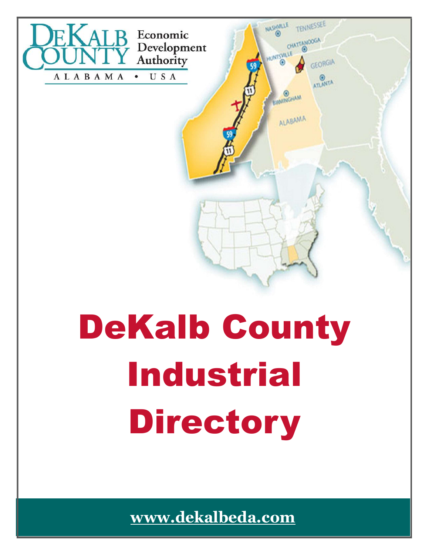

# Industrial Directory

www.dekalbeda.com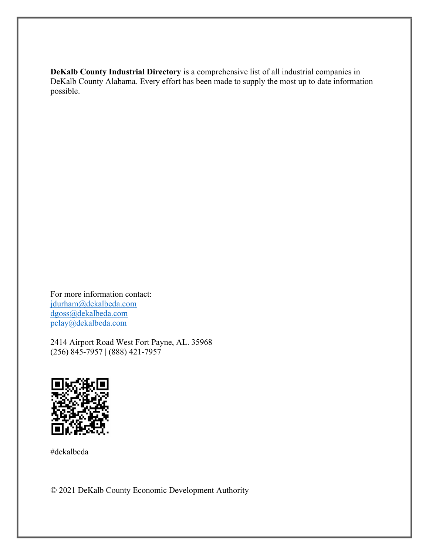DeKalb County Industrial Directory is a comprehensive list of all industrial companies in DeKalb County Alabama. Every effort has been made to supply the most up to date information possible.

For more information contact: jdurham@dekalbeda.com dgoss@dekalbeda.com pclay@dekalbeda.com

2414 Airport Road West Fort Payne, AL. 35968 (256) 845-7957 | (888) 421-7957



#dekalbeda

© 2021 DeKalb County Economic Development Authority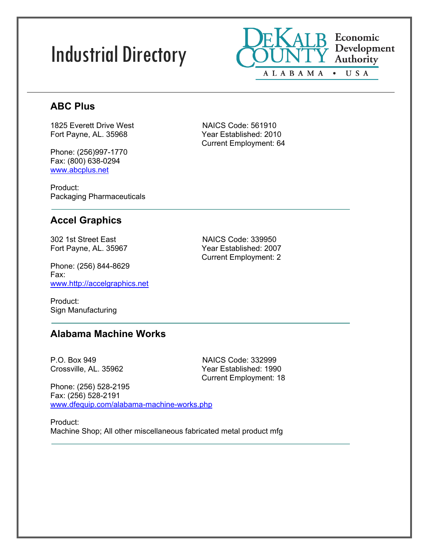# Industrial Directory



# **ABC Plus**

1825 Everett Drive West NAICS Code: 561910 Fort Payne, AL. 35968 Year Established: 2010

Phone: (256)997-1770 Fax: (800) 638-0294 www.abcplus.net

Product: Packaging Pharmaceuticals

# **Accel Graphics**

302 1st Street East NAICS Code: 339950

Phone: (256) 844-8629 Fax: www.http://accelgraphics.net

Product: Sign Manufacturing

# Fort Payne, AL. 35967 Year Established: 2007 Current Employment: 2

Current Employment: 64

**Alabama Machine Works**

P.O. Box 949 NAICS Code: 332999

Crossville, AL. 35962 Year Established: 1990 Current Employment: 18

Phone: (256) 528-2195 Fax: (256) 528-2191 www.dfequip.com/alabama-machine-works.php

Product: Machine Shop; All other miscellaneous fabricated metal product mfg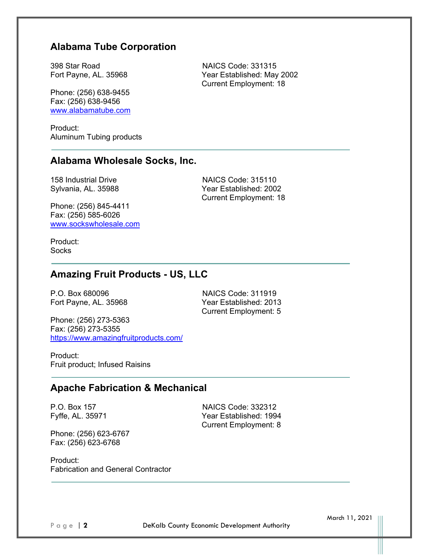# **Alabama Tube Corporation**

398 Star Road NAICS Code: 331315 Fort Payne, AL. 35968 Year Established: May 2002

Phone: (256) 638-9455 Fax: (256) 638-9456 www.alabamatube.com

Product: Aluminum Tubing products

### **Alabama Wholesale Socks, Inc.**

Phone: (256) 845-4411 Fax: (256) 585-6026 www.sockswholesale.com

158 Industrial Drive NAICS Code: 315110 Sylvania, AL. 35988 Year Established: 2002 Current Employment: 18

Current Employment: 18

Product: **Socks** 

# **Amazing Fruit Products - US, LLC**

P.O. Box 680096 NAICS Code: 311919

Fort Payne, AL. 35968 Year Established: 2013 Current Employment: 5

Phone: (256) 273-5363 Fax: (256) 273-5355 https://www.amazingfruitproducts.com/

Product: Fruit product; Infused Raisins

### **Apache Fabrication & Mechanical**

Phone: (256) 623-6767 Fax: (256) 623-6768

P.O. Box 157 NAICS Code: 332312 Fyffe, AL. 35971 Year Established: 1994 Current Employment: 8

Product: Fabrication and General Contractor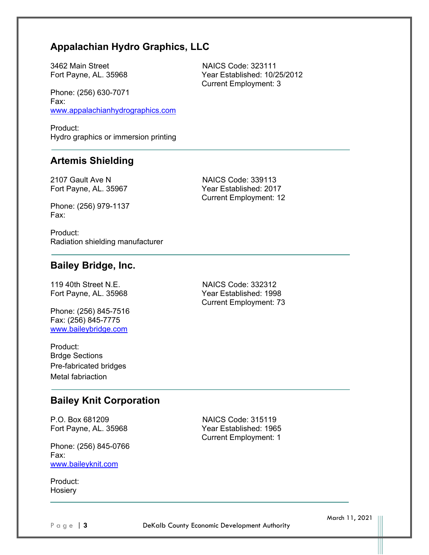# **Appalachian Hydro Graphics, LLC**

3462 Main Street NAICS Code: 323111

Phone: (256) 630-7071 Fax: www.appalachianhydrographics.com

Product: Hydro graphics or immersion printing

# **Artemis Shielding**

2107 Gault Ave N N NAICS Code: 339113 Fort Payne, AL. 35967 Year Established: 2017

Phone: (256) 979-1137 Fax:

Product: Radiation shielding manufacturer

### **Bailey Bridge, Inc.**

Phone: (256) 845-7516 Fax: (256) 845-7775 www.baileybridge.com

Product: Brdge Sections Pre-fabricated bridges Metal fabriaction

119 40th Street N.E. NAICS Code: 332312 Fort Payne, AL. 35968 Year Established: 1998 Current Employment: 73

Current Employment: 12

# **Bailey Knit Corporation**

P.O. Box 681209 NAICS Code: 315119

Phone: (256) 845-0766 Fax: www.baileyknit.com

Product: **Hosiery** 

Fort Payne, AL. 35968 Year Established: 1965 Current Employment: 1

Page | 3 **DeKalb County Economic Development Authority** 

March 11, 2021

Fort Payne, AL. 35968 Year Established: 10/25/2012 Current Employment: 3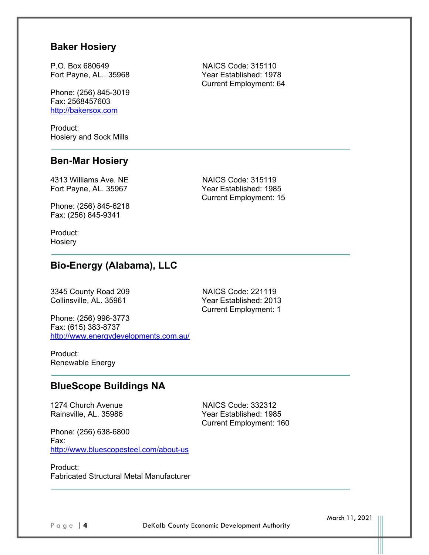### **Baker Hosiery**

P.O. Box 680649 NAICS Code: 315110

Phone: (256) 845-3019 Fax: 2568457603 http://bakersox.com

Product: Hosiery and Sock Mills

### **Ben-Mar Hosiery**

4313 Williams Ave. NE NAICS Code: 315119

Phone: (256) 845-6218 Fax: (256) 845-9341

Product: **Hosiery** 

# **Bio-Energy (Alabama), LLC**

3345 County Road 209 NAICS Code: 221119

Collinsville, AL. 35961 Year Established: 2013 Current Employment: 1

Phone: (256) 996-3773 Fax: (615) 383-8737 http://www.energydevelopments.com.au/

Product: Renewable Energy

### **BlueScope Buildings NA**

1274 Church Avenue<br>
Rainsville, AL. 35986 National Prear Established: 1989

Year Established: 1985 Current Employment: 160

Phone: (256) 638-6800 Fax: http://www.bluescopesteel.com/about-us

Product: Fabricated Structural Metal Manufacturer

Fort Payne, AL.. 35968 Year Established: 1978 Current Employment: 64

Fort Payne, AL. 35967 Year Established: 1985 Current Employment: 15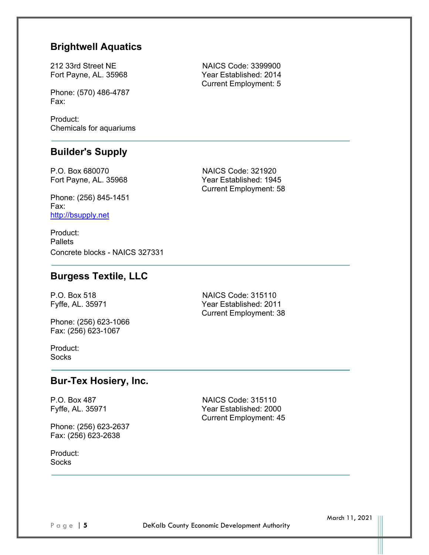# **Brightwell Aquatics**

212 33rd Street NE NAICS Code: 3399900

Phone: (570) 486-4787 Fax:

Product: Chemicals for aquariums

# **Builder's Supply**

P.O. Box 680070 NAICS Code: 321920

Phone: (256) 845-1451 Fax: http://bsupply.net

Product: **Pallets** Concrete blocks - NAICS 327331

# **Burgess Textile, LLC**

Phone: (256) 623-1066 Fax: (256) 623-1067

P.O. Box 518 NAICS Code: 315110 Fyffe, AL. 35971 Year Established: 2011 Current Employment: 38

Current Employment: 45

Product: **Socks** 

### **Bur-Tex Hosiery, Inc.**

P.O. Box 487 NAICS Code: 315110 Fyffe, AL. 35971 Year Established: 2000

Phone: (256) 623-2637 Fax: (256) 623-2638

Product: **Socks** 

Fort Payne, AL. 35968 Year Established: 2014 Current Employment: 5

Fort Payne, AL. 35968 Year Established: 1945 Current Employment: 58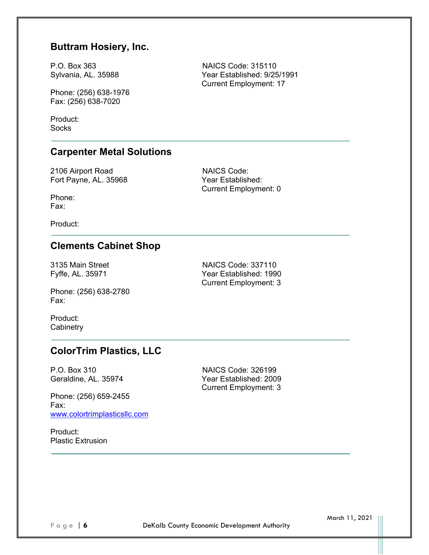# **Buttram Hosiery, Inc.**

P.O. Box 363 NAICS Code: 315110 Sylvania, AL. 35988 Year Established: 9/25/1991

Phone: (256) 638-1976 Fax: (256) 638-7020

Product: **Socks** 

# **Carpenter Metal Solutions**

2106 Airport Road NAICS Code: Fort Payne, AL. 35968 Year Established:

Current Employment: 0

Current Employment: 17

Phone: Fax:

Product:

# **Clements Cabinet Shop**

3135 Main Street NAICS Code: 337110<br>Fyffe, AL. 35971 Main Street Near Established: 1990

Phone: (256) 638-2780 Fax:

Product: **Cabinetry** 

# Year Established: 1990 Current Employment: 3

# **ColorTrim Plastics, LLC**

Phone: (256) 659-2455 Fax: www.colortrimplasticsllc.com

Product: Plastic Extrusion

P.O. Box 310 NAICS Code: 326199 Geraldine, AL. 35974 Year Established: 2009 Current Employment: 3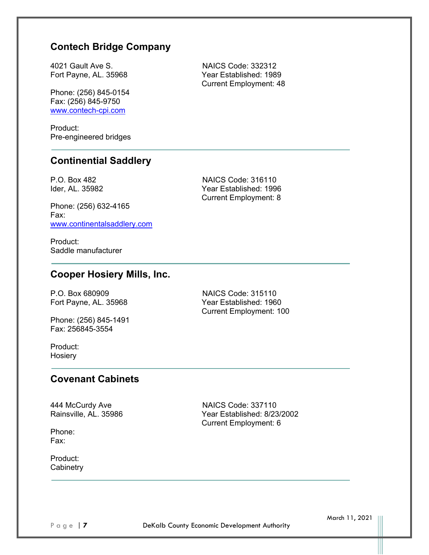# **Contech Bridge Company**

4021 Gault Ave S. NAICS Code: 332312 Fort Payne, AL. 35968 Year Established: 1989

Phone: (256) 845-0154 Fax: (256) 845-9750 www.contech-cpi.com

Product: Pre-engineered bridges

# **Continential Saddlery**

Phone: (256) 632-4165 Fax: www.continentalsaddlery.com

P.O. Box 482 NAICS Code: 316110 Ider, AL. 35982 Year Established: 1996 Current Employment: 8

Current Employment: 48

Product: Saddle manufacturer

# **Cooper Hosiery Mills, Inc.**

P.O. Box 680909 NAICS Code: 315110

Phone: (256) 845-1491 Fax: 256845-3554

Fort Payne, AL. 35968 Year Established: 1960 Current Employment: 100

Product: **Hosiery** 

# **Covenant Cabinets**

444 McCurdy Ave **NAICS Code: 337110**<br>Rainsville, AL. 35986 Nainsville, AL. 35986

Phone: Fax:

Product: **Cabinetry**  Year Established: 8/23/2002 Current Employment: 6

Page | **7 DeKalb County Economic Development Authority**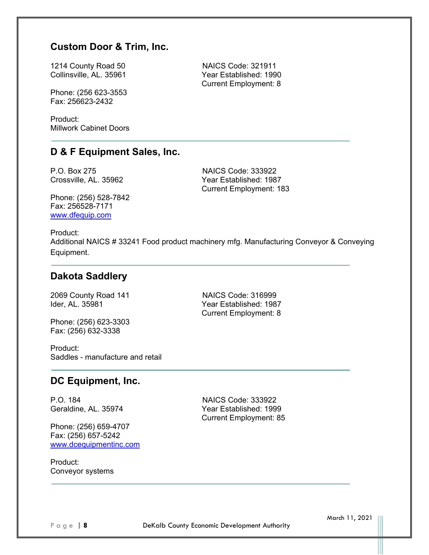# **Custom Door & Trim, Inc.**

1214 County Road 50 NAICS Code: 321911 Collinsville, AL. 35961 Year Established: 1990

Phone: (256 623-3553 Fax: 256623-2432

Product: Millwork Cabinet Doors

### **D & F Equipment Sales, Inc.**

P.O. Box 275 NAICS Code: 333922

Crossville, AL. 35962 Year Established: 1987 Current Employment: 183

Current Employment: 8

Phone: (256) 528-7842 Fax: 256528-7171 www.dfequip.com

Product: Additional NAICS # 33241 Food product machinery mfg. Manufacturing Conveyor & Conveying Equipment.

### **Dakota Saddlery**

2069 County Road 141 NAICS Code: 316999

Phone: (256) 623-3303 Fax: (256) 632-3338

Product: Saddles - manufacture and retail

### **DC Equipment, Inc.**

P.O. 184<br>Geraldine, AL. 35974 **NAICS** Code: 333922<br>Year Established: 199

Phone: (256) 659-4707 Fax: (256) 657-5242 www.dcequipmentinc.com

Product: Conveyor systems

Ider, AL. 35981 Year Established: 1987 Current Employment: 8

> Year Established: 1999 Current Employment: 85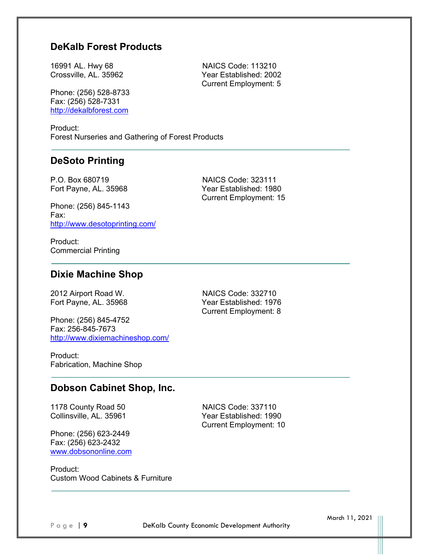# **DeKalb Forest Products**

16991 AL. Hwy 68 NAICS Code: 113210 Crossville, AL. 35962 Year Established: 2002

Phone: (256) 528-8733 Fax: (256) 528-7331 http://dekalbforest.com

Product: Forest Nurseries and Gathering of Forest Products

# **DeSoto Printing**

Phone: (256) 845-1143 Fax: http://www.desotoprinting.com/

P.O. Box 680719 NAICS Code: 323111 Fort Payne, AL. 35968 Year Established: 1980 Current Employment: 15

Current Employment: 5

Product: Commercial Printing

### **Dixie Machine Shop**

2012 Airport Road W. NAICS Code: 332710

Phone: (256) 845-4752 Fax: 256-845-7673 http://www.dixiemachineshop.com/

Fort Payne, AL. 35968 Year Established: 1976 Current Employment: 8

Product: Fabrication, Machine Shop

### **Dobson Cabinet Shop, Inc.**

1178 County Road 50 NAICS Code: 337110

Phone: (256) 623-2449 Fax: (256) 623-2432 www.dobsononline.com

Collinsville, AL. 35961 Year Established: 1990 Current Employment: 10

Product: Custom Wood Cabinets & Furniture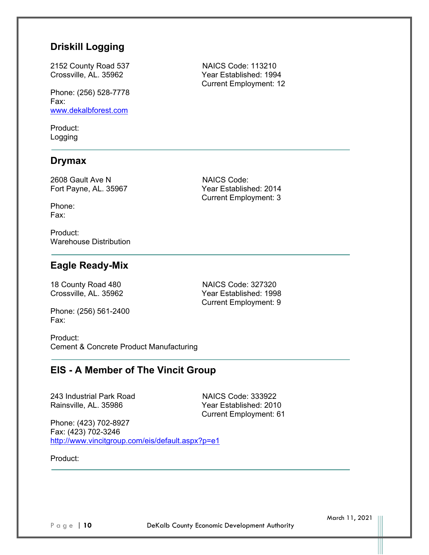# **Driskill Logging**

2152 County Road 537 NAICS Code: 113210

Phone: (256) 528-7778 Fax: www.dekalbforest.com

Product: Logging

### **Drymax**

2608 Gault Ave N NAICS Code:

Phone: Fax:

Product: Warehouse Distribution

# **Eagle Ready-Mix**

18 County Road 480 NAICS Code: 327320 Crossville, AL. 35962 Year Established: 1998 Current Employment: 9

Phone: (256) 561-2400 Fax:

Product: Cement & Concrete Product Manufacturing

# **EIS - A Member of The Vincit Group**

243 Industrial Park Road NAICS Code: 333922

Year Established: 2010 Current Employment: 61

Phone: (423) 702-8927 Fax: (423) 702-3246 http://www.vincitgroup.com/eis/default.aspx?p=e1

Product:

Crossville, AL. 35962 Year Established: 1994 Current Employment: 12

Fort Payne, AL. 35967 Year Established: 2014 Current Employment: 3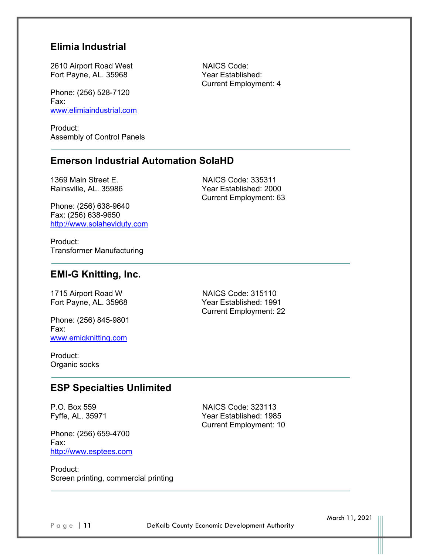### **Elimia Industrial**

2610 Airport Road West NAICS Code: Fort Payne, AL. 35968 Year Established:

Phone: (256) 528-7120 Fax: www.elimiaindustrial.com

Product: Assembly of Control Panels

### **Emerson Industrial Automation SolaHD**

Phone: (256) 638-9640 Fax: (256) 638-9650 http://www.solaheviduty.com

1369 Main Street E. NAICS Code: 335311 Rainsville, AL. 35986 Year Established: 2000 Current Employment: 63

Current Employment: 4

Product: Transformer Manufacturing

# **EMI-G Knitting, Inc.**

1715 Airport Road W NAICS Code: 315110

Phone: (256) 845-9801 Fax: www.emigknitting.com

Fort Payne, AL. 35968 Year Established: 1991 Current Employment: 22

Product: Organic socks

# **ESP Specialties Unlimited**

Phone: (256) 659-4700 Fax: http://www.esptees.com

P.O. Box 559 NAICS Code: 323113 Fyffe, AL. 35971 Year Established: 1985 Current Employment: 10

Product: Screen printing, commercial printing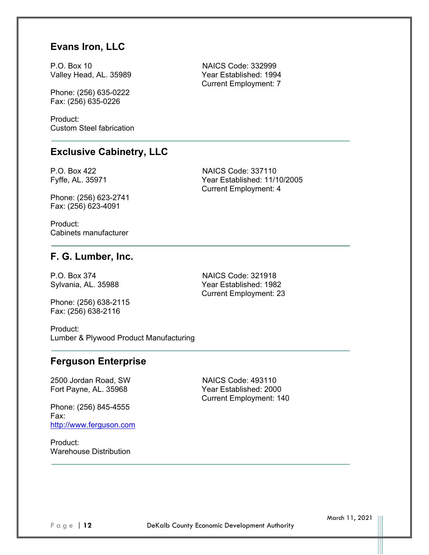# **Evans Iron, LLC**

P.O. Box 10 NAICS Code: 332999 Valley Head, AL. 35989 Year Established: 1994

Phone: (256) 635-0222 Fax: (256) 635-0226

Product: Custom Steel fabrication

### **Exclusive Cabinetry, LLC**

P.O. Box 422 NAICS Code: 337110 Fyffe, AL. 35971 Year Established: 11/10/2005

Phone: (256) 623-2741 Fax: (256) 623-4091

Product: Cabinets manufacturer

### **F. G. Lumber, Inc.**

P.O. Box 374 NAICS Code: 321918

Phone: (256) 638-2115 Fax: (256) 638-2116

Sylvania, AL. 35988 Year Established: 1982 Current Employment: 23

Current Employment: 7

Current Employment: 4

Product: Lumber & Plywood Product Manufacturing

# **Ferguson Enterprise**

2500 Jordan Road, SW NAICS Code: 493110

Phone: (256) 845-4555 Fax: http://www.ferguson.com

Product: Warehouse Distribution

Fort Payne, AL. 35968 Year Established: 2000 Current Employment: 140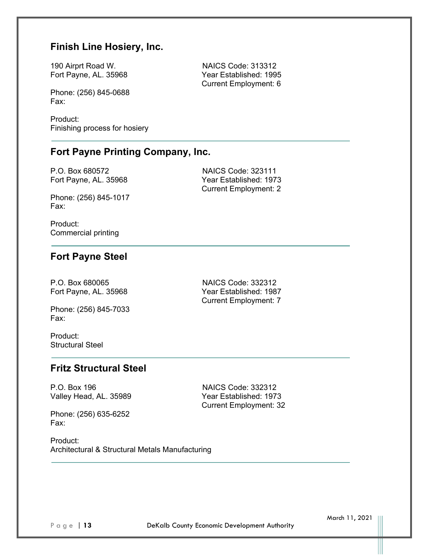# **Finish Line Hosiery, Inc.**

190 Airprt Road W. NAICS Code: 313312 Fort Payne, AL. 35968 Year Established: 1995

Phone: (256) 845-0688 Fax:

Product: Finishing process for hosiery

# **Fort Payne Printing Company, Inc.**

P.O. Box 680572 NAICS Code: 323111

Phone: (256) 845-1017 Fax:

Fort Payne, AL. 35968 Year Established: 1973 Current Employment: 2

Current Employment: 6

Product: Commercial printing

# **Fort Payne Steel**

Phone: (256) 845-7033 Fax:

Product: Structural Steel

P.O. Box 680065 NAICS Code: 332312 Fort Payne, AL. 35968 Year Established: 1987 Current Employment: 7

# **Fritz Structural Steel**

P.O. Box 196 NAICS Code: 332312 Valley Head, AL. 35989 Year Established: 1973

Phone: (256) 635-6252 Fax:

Current Employment: 32

Product: Architectural & Structural Metals Manufacturing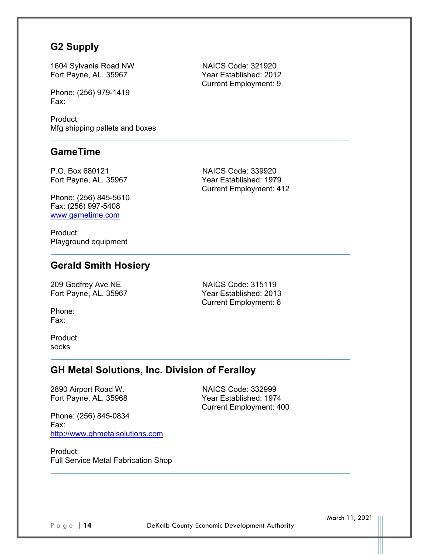# **G2 Supply**

1604 Sylvania Road NW NAICS Code: 321920 Fort Payne, AL. 35967 Year Established: 2012

Phone: (256) 979-1419 Fax:

Product: Mfg shipping pallets and boxes

# **GameTime**

P.O. Box 680121 NAICS Code: 339920 Fort Payne, AL. 35967 Year Established: 1979

Phone: (256) 845-5610 Fax: (256) 997-5408 www.gametime.com

Product: Playground equipment

### **Gerald Smith Hosiery**

209 Godfrey Ave NE NAICS Code: 315119

Fort Payne, AL. 35967 Year Established: 2013 Current Employment: 6

Current Employment: 412

Phone: Fax:

Product: socks

### **GH Metal Solutions, Inc. Division of Feralloy**

Phone: (256) 845-0834 Fax: http://www.ghmetalsolutions.com

2890 Airport Road W. NAICS Code: 332999 Fort Payne, AL. 35968 Year Established: 1974 Current Employment: 400

Product: Full Service Metal Fabrication Shop Current Employment: 9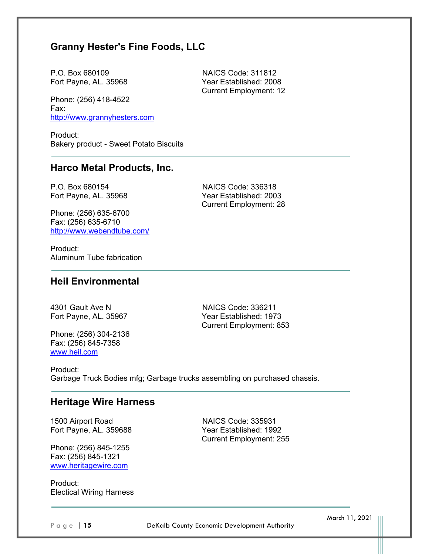# **Granny Hester's Fine Foods, LLC**

P.O. Box 680109 NAICS Code: 311812 Fort Payne, AL. 35968 Year Established: 2008

Phone: (256) 418-4522 Fax: http://www.grannyhesters.com

Product: Bakery product - Sweet Potato Biscuits

### **Harco Metal Products, Inc.**

P.O. Box 680154 NAICS Code: 336318

Fort Payne, AL. 35968 Year Established: 2003 Current Employment: 28

Current Employment: 12

Phone: (256) 635-6700 Fax: (256) 635-6710 http://www.webendtube.com/

Product: Aluminum Tube fabrication

# **Heil Environmental**

4301 Gault Ave N NAICS Code: 336211 Fort Payne, AL. 35967 Year Established: 1973 Current Employment: 853

Phone: (256) 304-2136 Fax: (256) 845-7358 www.heil.com

Product: Garbage Truck Bodies mfg; Garbage trucks assembling on purchased chassis.

### **Heritage Wire Harness**

1500 Airport Road NAICS Code: 335931 Fort Payne, AL. 359688 Year Established: 1992

Phone: (256) 845-1255 Fax: (256) 845-1321 www.heritagewire.com

Product: Electical Wiring Harness Current Employment: 255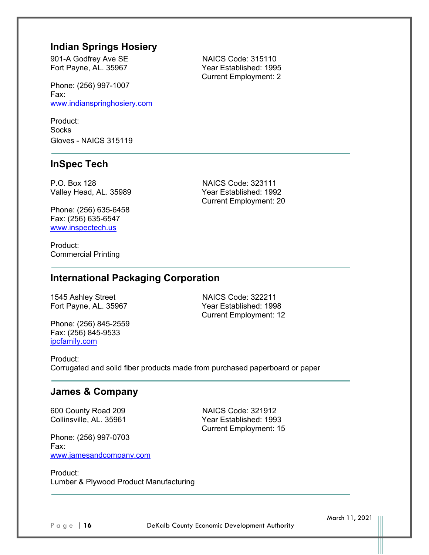### **Indian Springs Hosiery**

901-A Godfrey Ave SE NAICS Code: 315110 Fort Payne, AL. 35967 Year Established: 1995

Phone: (256) 997-1007 Fax: www.indianspringhosiery.com

Product: **Socks** Gloves - NAICS 315119

### **InSpec Tech**

P.O. Box 128 NAICS Code: 323111 Valley Head, AL. 35989 Year Established: 1992

Phone: (256) 635-6458 Fax: (256) 635-6547 www.inspectech.us

Product: Commercial Printing

# **International Packaging Corporation**

1545 Ashley Street NAICS Code: 322211

Phone: (256) 845-2559 Fax: (256) 845-9533 ipcfamily.com

Fort Payne, AL. 35967 Year Established: 1998 Current Employment: 12

Current Employment: 20

Product: Corrugated and solid fiber products made from purchased paperboard or paper

# **James & Company**

600 County Road 209 NAICS Code: 321912

Phone: (256) 997-0703 Fax: www.jamesandcompany.com

Collinsville, AL. 35961 Year Established: 1993 Current Employment: 15

Product: Lumber & Plywood Product Manufacturing

Page | 16 **DeKalb County Economic Development Authority** 

March 11, 2021

Current Employment: 2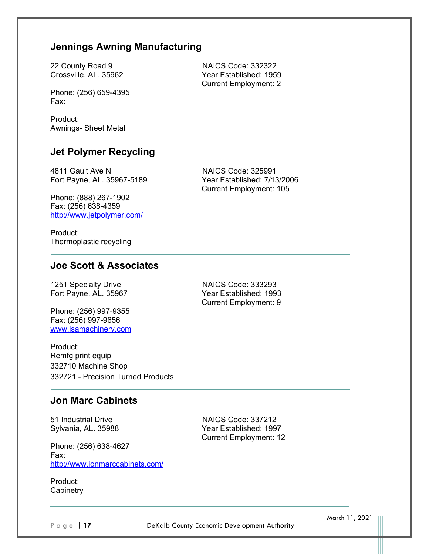# **Jennings Awning Manufacturing**

Phone: (256) 659-4395 Fax:

Product: Awnings- Sheet Metal

### **Jet Polymer Recycling**

4811 Gault Ave N NAICS Code: 325991 Fort Payne, AL. 35967-5189 Year Established: 7/13/2006

Phone: (888) 267-1902 Fax: (256) 638-4359 http://www.jetpolymer.com/

Product: Thermoplastic recycling

### **Joe Scott & Associates**

1251 Specialty Drive NAICS Code: 333293

Phone: (256) 997-9355 Fax: (256) 997-9656 www.jsamachinery.com

Product: Remfg print equip 332710 Machine Shop 332721 - Precision Turned Products

Fort Payne, AL. 35967 Year Established: 1993 Current Employment: 9

Current Employment: 105

### **Jon Marc Cabinets**

Phone: (256) 638-4627 Fax: http://www.jonmarccabinets.com/

Product: **Cabinetry** 

51 Industrial Drive NAICS Code: 337212 Sylvania, AL. 35988 Year Established: 1997 Current Employment: 12

Page | 17 **DeKalb County Economic Development Authority** 

March 11, 2021

22 County Road 9 NAICS Code: 332322 Crossville, AL. 35962 Year Established: 1959 Current Employment: 2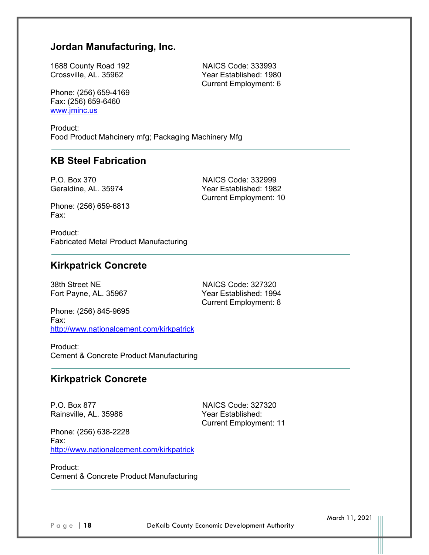# **Jordan Manufacturing, Inc.**

1688 County Road 192 NAICS Code: 333993 Crossville, AL. 35962 Year Established: 1980

Phone: (256) 659-4169 Fax: (256) 659-6460 www.jminc.us

Product: Food Product Mahcinery mfg; Packaging Machinery Mfg

### **KB Steel Fabrication**

P.O. Box 370 NAICS Code: 332999

Geraldine, AL. 35974 Year Established: 1982 Current Employment: 10

Current Employment: 6

Phone: (256) 659-6813 Fax:

Product: Fabricated Metal Product Manufacturing

### **Kirkpatrick Concrete**

38th Street NE NAICS Code: 327320

Fort Payne, AL. 35967 Year Established: 1994 Current Employment: 8

Phone: (256) 845-9695 Fax: http://www.nationalcement.com/kirkpatrick

Product: Cement & Concrete Product Manufacturing

### **Kirkpatrick Concrete**

P.O. Box 877 NAICS Code: 327320 Rainsville, AL. 35986 Year Established:

Current Employment: 11

Phone: (256) 638-2228 Fax: http://www.nationalcement.com/kirkpatrick

Product: Cement & Concrete Product Manufacturing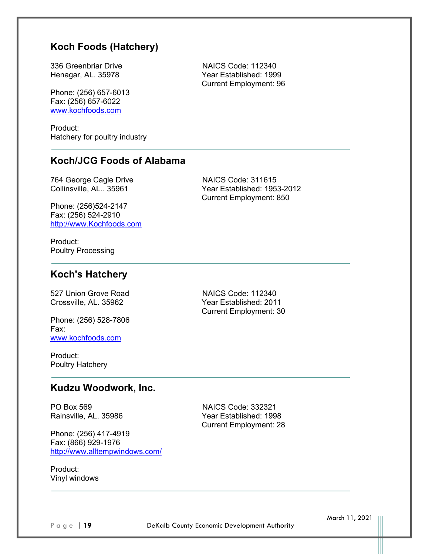# **Koch Foods (Hatchery)**

336 Greenbriar Drive NAICS Code: 112340 Henagar, AL. 35978 Year Established: 1999

Phone: (256) 657-6013 Fax: (256) 657-6022 www.kochfoods.com

Product: Hatchery for poultry industry

# **Koch/JCG Foods of Alabama**

Phone: (256)524-2147 Fax: (256) 524-2910 http://www.Kochfoods.com

764 George Cagle Drive NAICS Code: 311615 Collinsville, AL.. 35961 Year Established: 1953-2012 Current Employment: 850

Current Employment: 96

Product: Poultry Processing

# **Koch's Hatchery**

527 Union Grove Road NAICS Code: 112340

Phone: (256) 528-7806 Fax: www.kochfoods.com

Product: Poultry Hatchery

Crossville, AL. 35962 Year Established: 2011 Current Employment: 30

### **Kudzu Woodwork, Inc.**

PO Box 569 NAICS Code: 332321

Phone: (256) 417-4919 Fax: (866) 929-1976 http://www.alltempwindows.com/

Rainsville, AL. 35986 Year Established: 1998 Current Employment: 28

Product: Vinyl windows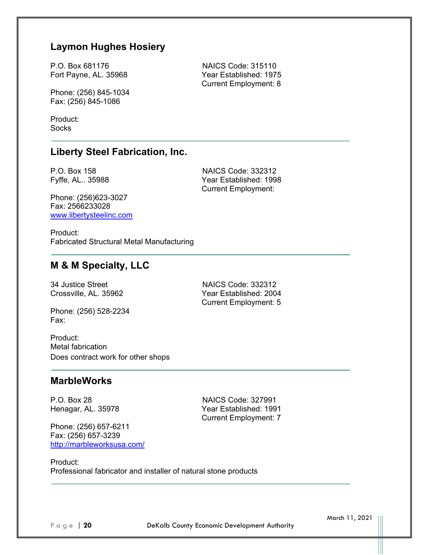# **Laymon Hughes Hosiery**

P.O. Box 681176 NAICS Code: 315110 Fort Payne, AL. 35968 Year Established: 1975

Phone: (256) 845-1034 Fax: (256) 845-1086

Product: **Socks** 

### **Liberty Steel Fabrication, Inc.**

Phone: (256)623-3027 Fax: 2566233028 www.libertysteelinc.com

P.O. Box 158 NAICS Code: 332312 Fyffe, AL.. 35988 Year Established: 1998 Current Employment:

Current Employment: 8

Product: Fabricated Structural Metal Manufacturing

# **M & M Specialty, LLC**

34 Justice Street NAICS Code: 332312 Crossville, AL. 35962 Year Established: 2004

Phone: (256) 528-2234 Fax:

Product: Metal fabrication Does contract work for other shops

### **MarbleWorks**

Phone: (256) 657-6211 Fax: (256) 657-3239 http://marbleworksusa.com/

P.O. Box 28 NAICS Code: 327991 Henagar, AL. 35978 Year Established: 1991 Current Employment: 7

Current Employment: 5

Product: Professional fabricator and installer of natural stone products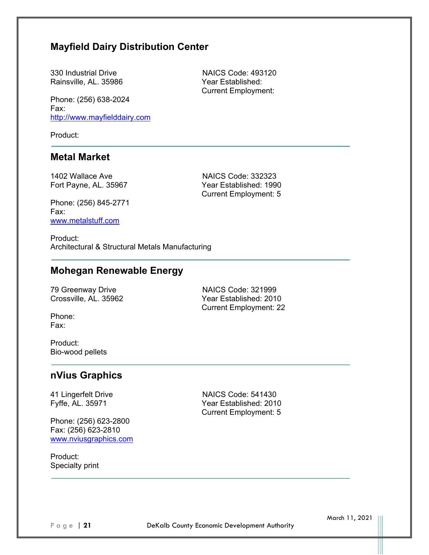# **Mayfield Dairy Distribution Center**

330 Industrial Drive NAICS Code: 493120 Rainsville, AL. 35986 Year Established:

Phone: (256) 638-2024 Fax: http://www.mayfielddairy.com

Product:

### **Metal Market**

1402 Wallace Ave **NAICS Code: 332323**<br>
Fort Pavne. AL. 35967 **NAICS** Code: 332323 Fort Payne, AL. 35967

Current Employment: 5

Current Employment:

Phone: (256) 845-2771 Fax: www.metalstuff.com

Product: Architectural & Structural Metals Manufacturing

# **Mohegan Renewable Energy**

79 Greenway Drive NAICS Code: 321999

Crossville, AL. 35962 Year Established: 2010 Current Employment: 22

Phone: Fax:

Product: Bio-wood pellets

# **nVius Graphics**

Phone: (256) 623-2800 Fax: (256) 623-2810 www.nviusgraphics.com

Product: Specialty print

41 Lingerfelt Drive NAICS Code: 541430 Fyffe, AL. 35971 Year Established: 2010 Current Employment: 5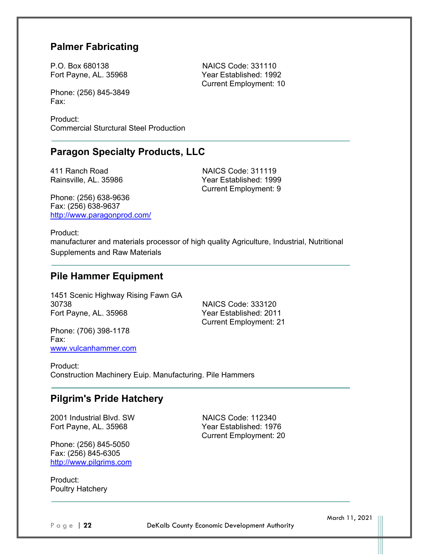# **Palmer Fabricating**

P.O. Box 680138 NAICS Code: 331110 Fort Payne, AL. 35968 Year Established: 1992

Phone: (256) 845-3849 Fax:

Product: Commercial Sturctural Steel Production

# **Paragon Specialty Products, LLC**

Phone: (256) 638-9636 Fax: (256) 638-9637 http://www.paragonprod.com/

411 Ranch Road NAICS Code: 311119 Rainsville, AL. 35986 Year Established: 1999 Current Employment: 9

Current Employment: 10

Product:

manufacturer and materials processor of high quality Agriculture, Industrial, Nutritional Supplements and Raw Materials

### **Pile Hammer Equipment**

1451 Scenic Highway Rising Fawn GA 30738 NAICS Code: 333120 Fort Payne, AL. 35968 Year Established: 2011

Current Employment: 21

Phone: (706) 398-1178 Fax: www.vulcanhammer.com

Product: Construction Machinery Euip. Manufacturing. Pile Hammers

# **Pilgrim's Pride Hatchery**

2001 Industrial Blvd. SW NAICS Code: 112340 Fort Payne, AL. 35968 Year Established: 1976

Phone: (256) 845-5050 Fax: (256) 845-6305 http://www.pilgrims.com

Product: Poultry Hatchery Current Employment: 20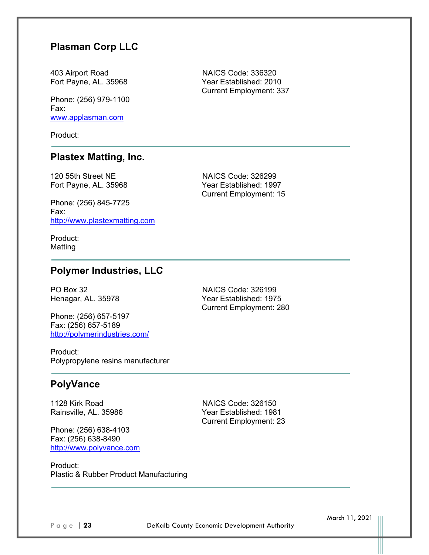# **Plasman Corp LLC**

403 Airport Road NAICS Code: 336320 Fort Payne, AL. 35968 Year Established: 2010

Phone: (256) 979-1100 Fax: www.applasman.com

Product:

# **Plastex Matting, Inc.**

120 55th Street NE NAICS Code: 326299

Phone: (256) 845-7725 Fax: http://www.plastexmatting.com

Fort Payne, AL. 35968 Year Established: 1997 Current Employment: 15

Current Employment: 337

Product: Matting

# **Polymer Industries, LLC**

Phone: (256) 657-5197 Fax: (256) 657-5189 http://polymerindustries.com/

PO Box 32 NAICS Code: 326199 Henagar, AL. 35978 Year Established: 1975 Current Employment: 280

Product: Polypropylene resins manufacturer

### **PolyVance**

1128 Kirk Road NAICS Code: 326150

Phone: (256) 638-4103 Fax: (256) 638-8490 http://www.polyvance.com

Rainsville, AL. 35986 Year Established: 1981 Current Employment: 23

Product: Plastic & Rubber Product Manufacturing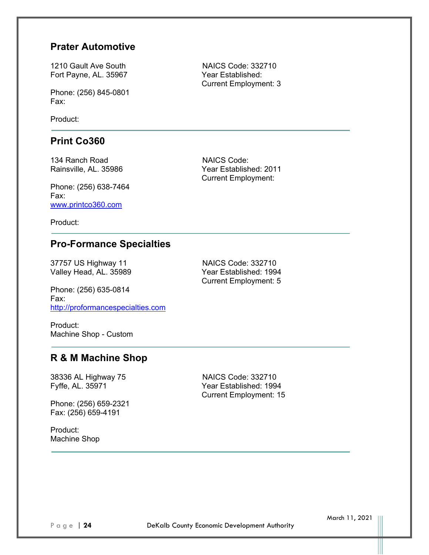### **Prater Automotive**

Fort Payne, AL. 35967 Year Established:

Phone: (256) 845-0801 Fax:

Product:

### **Print Co360**

134 Ranch Road NAICS Code:

Phone: (256) 638-7464 Fax: www.printco360.com

Product:

# **Pro-Formance Specialties**

37757 US Highway 11 NAICS Code: 332710 Valley Head, AL. 35989 Year Established: 1994

Phone: (256) 635-0814 Fax: http://proformancespecialties.com

Product: Machine Shop - Custom

### **R & M Machine Shop**

38336 AL Highway 75 NAICS Code: 332710

Phone: (256) 659-2321 Fax: (256) 659-4191

Product: Machine Shop

1210 Gault Ave South NAICS Code: 332710 Current Employment: 3

Rainsville, AL. 35986 Year Established: 2011 Current Employment:

Current Employment: 5

Year Established: 1994 Current Employment: 15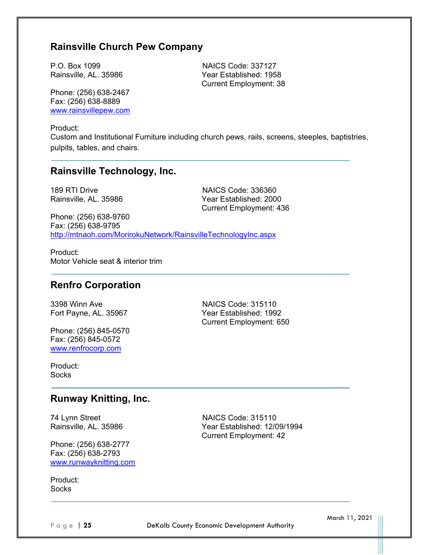# **Rainsville Church Pew Company**

P.O. Box 1099 NAICS Code: 337127 Rainsville, AL. 35986 Year Established: 1958

Phone: (256) 638-2467 Fax: (256) 638-8889 www.rainsvillepew.com

Product:

Custom and Institutional Furniture including church pews, rails, screens, steeples, baptistries, pulpits, tables, and chairs.

### **Rainsville Technology, Inc.**

189 RTI Drive NAICS Code: 336360 Rainsville, AL. 35986 Year Established: 2000 Current Employment: 436

Current Employment: 38

Phone: (256) 638-9760 Fax: (256) 638-9795 http://mtnaoh.com/MorirokuNetwork/RainsvilleTechnologyInc.aspx

Product: Motor Vehicle seat & interior trim

### **Renfro Corporation**

Phone: (256) 845-0570 Fax: (256) 845-0572 www.renfrocorp.com

3398 Winn Ave NAICS Code: 315110 Fort Payne, AL. 35967 Year Established: 1992 Current Employment: 650

Product: **Socks** 

### **Runway Knitting, Inc.**

Phone: (256) 638-2777 Fax: (256) 638-2793 www.runwayknitting.com

Product: **Socks** 

74 Lynn Street NAICS Code: 315110 Rainsville, AL. 35986 Year Established: 12/09/1994 Current Employment: 42

Page | 25 **DeKalb County Economic Development Authority**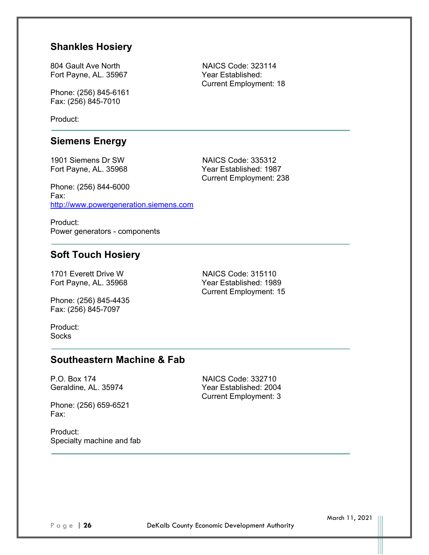### **Shankles Hosiery**

804 Gault Ave North NAICS Code: 323114 Fort Payne, AL. 35967 Year Established:

Phone: (256) 845-6161 Fax: (256) 845-7010

Product:

### **Siemens Energy**

1901 Siemens Dr SW NAICS Code: 335312 Fort Payne, AL. 35968 Year Established: 1987 Current Employment: 238

Phone: (256) 844-6000 Fax: http://www.powergeneration.siemens.com

Product: Power generators - components

# **Soft Touch Hosiery**

1701 Everett Drive W NAICS Code: 315110

Phone: (256) 845-4435 Fax: (256) 845-7097

Fort Payne, AL. 35968 Year Established: 1989 Current Employment: 15

Current Employment: 3

Product: **Socks** 

# **Southeastern Machine & Fab**

P.O. Box 174 NAICS Code: 332710 Geraldine, AL. 35974 Year Established: 2004

Phone: (256) 659-6521 Fax:

Product: Specialty machine and fab Current Employment: 18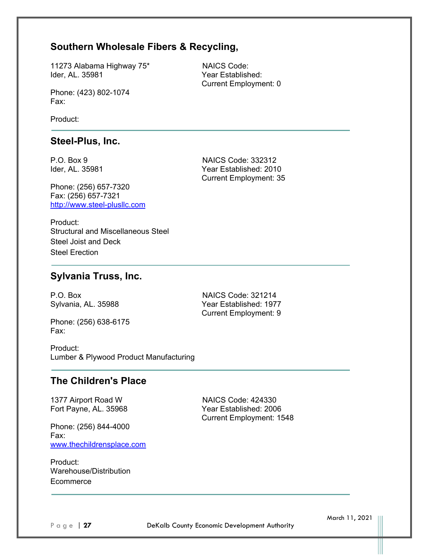# **Southern Wholesale Fibers & Recycling,**

11273 Alabama Highway 75\* NAICS Code: Ider, AL. 35981 Year Established:

Phone: (423) 802-1074 Fax:

Product:

### **Steel-Plus, Inc.**

Phone: (256) 657-7320 Fax: (256) 657-7321 http://www.steel-plusllc.com

P.O. Box 9 NAICS Code: 332312 Ider, AL. 35981 Year Established: 2010 Current Employment: 35

Current Employment: 0

Product: Structural and Miscellaneous Steel Steel Joist and Deck Steel Erection

### **Sylvania Truss, Inc.**

Phone: (256) 638-6175 Fax:

P.O. Box NAICS Code: 321214 Sylvania, AL. 35988 Year Established: 1977 Current Employment: 9

Product: Lumber & Plywood Product Manufacturing

### **The Children's Place**

1377 Airport Road W NAICS Code: 424330

Phone: (256) 844-4000 Fax: www.thechildrensplace.com

Product: Warehouse/Distribution **Ecommerce** 

Fort Payne, AL. 35968 Year Established: 2006 Current Employment: 1548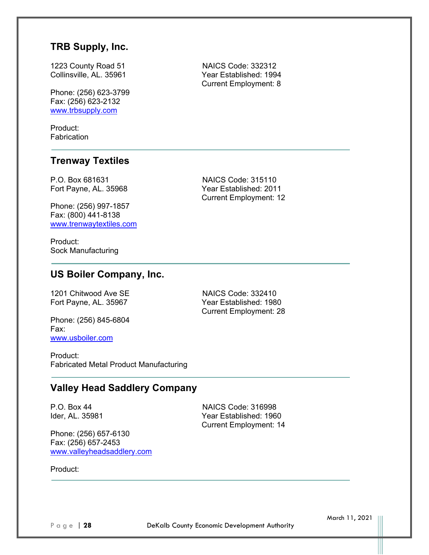# **TRB Supply, Inc.**

1223 County Road 51 NAICS Code: 332312 Collinsville, AL. 35961 Year Established: 1994

Phone: (256) 623-3799 Fax: (256) 623-2132 www.trbsupply.com

Product: **Fabrication** 

### **Trenway Textiles**

P.O. Box 681631 NAICS Code: 315110 Fort Payne, AL. 35968 Year Established: 2011

Phone: (256) 997-1857 Fax: (800) 441-8138 www.trenwaytextiles.com

Product: Sock Manufacturing Current Employment: 12

Current Employment: 8

# **US Boiler Company, Inc.**

1201 Chitwood Ave SE NAICS Code: 332410

Phone: (256) 845-6804 Fax: www.usboiler.com

Fort Payne, AL. 35967 Year Established: 1980 Current Employment: 28

Product: Fabricated Metal Product Manufacturing

# **Valley Head Saddlery Company**

Phone: (256) 657-6130 Fax: (256) 657-2453 www.valleyheadsaddlery.com

P.O. Box 44 NAICS Code: 316998 Ider, AL. 35981 Year Established: 1960 Current Employment: 14

Product: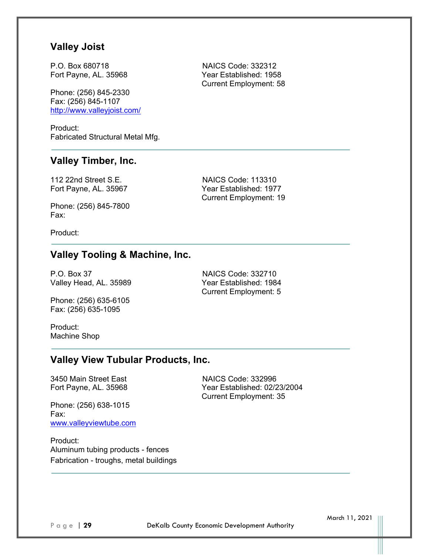### **Valley Joist**

P.O. Box 680718 NAICS Code: 332312

Phone: (256) 845-2330 Fax: (256) 845-1107 http://www.valleyjoist.com/

Product: Fabricated Structural Metal Mfg.

# **Valley Timber, Inc.**

112 22nd Street S.E. NAICS Code: 113310

Phone: (256) 845-7800 Fax:

Product:

# **Valley Tooling & Machine, Inc.**

P.O. Box 37 NAICS Code: 332710 Valley Head, AL. 35989 Year Established: 1984

Phone: (256) 635-6105 Fax: (256) 635-1095

Current Employment: 5

Product: Machine Shop

### **Valley View Tubular Products, Inc.**

3450 Main Street East NAICS Code: 332996

Fort Payne, AL. 35968 Year Established: 02/23/2004 Current Employment: 35

Phone: (256) 638-1015 Fax: www.valleyviewtube.com

Product: Aluminum tubing products - fences Fabrication - troughs, metal buildings

March 11, 2021

Fort Payne, AL. 35968 Year Established: 1958 Current Employment: 58

Fort Payne, AL. 35967 Year Established: 1977 Current Employment: 19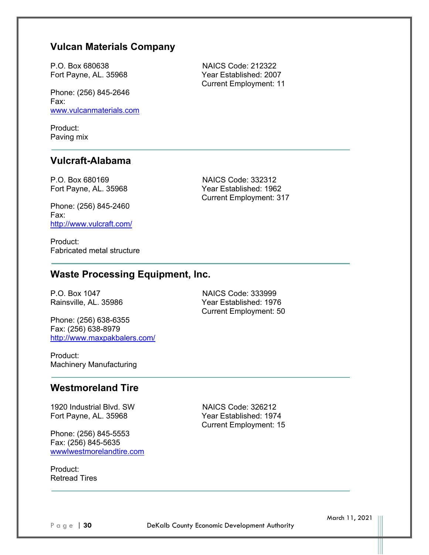# **Vulcan Materials Company**

P.O. Box 680638 NAICS Code: 212322 Fort Payne, AL. 35968 Year Established: 2007

Phone: (256) 845-2646 Fax: www.vulcanmaterials.com

Product: Paving mix

### **Vulcraft-Alabama**

P.O. Box 680169 NAICS Code: 332312 Fort Payne, AL. 35968 Year Established: 1962

Phone: (256) 845-2460 Fax: http://www.vulcraft.com/

Product: Fabricated metal structure

# **Waste Processing Equipment, Inc.**

Phone: (256) 638-6355 Fax: (256) 638-8979 http://www.maxpakbalers.com/

P.O. Box 1047 NAICS Code: 333999 Rainsville, AL. 35986 Year Established: 1976 Current Employment: 50

Product: Machinery Manufacturing

### **Westmoreland Tire**

1920 Industrial Blvd. SW NAICS Code: 326212 Fort Payne, AL. 35968 Year Established: 1974

Phone: (256) 845-5553 Fax: (256) 845-5635 wwwlwestmorelandtire.com

Product: Retread Tires Current Employment: 15

Current Employment: 317

Current Employment: 11

Page | 30 **DeKalb County Economic Development Authority**